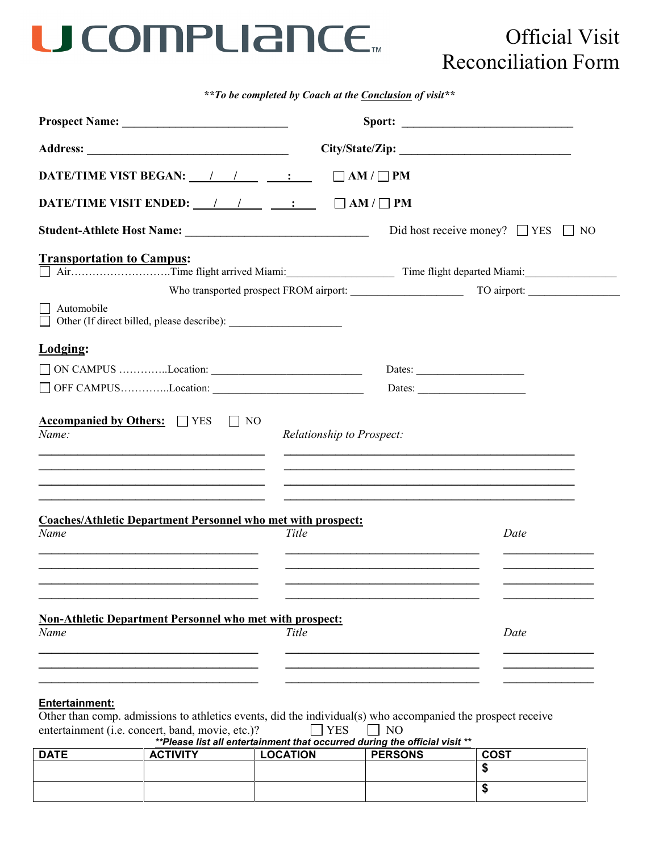## U COMPLIANCE.

## Official Visit Reconciliation Form

*\*\*To be completed by Coach at the Conclusion of visit\*\**

| DATE/TIME VIST BEGAN: / / / :                                                                                                                                                  | $\Box$ AM / $\Box$ PM                                                                                                                         |                                              |  |
|--------------------------------------------------------------------------------------------------------------------------------------------------------------------------------|-----------------------------------------------------------------------------------------------------------------------------------------------|----------------------------------------------|--|
| DATE/TIME VISIT ENDED: $\frac{1}{1}$ $\frac{1}{1}$ $\frac{1}{1}$ $\frac{1}{1}$                                                                                                 | $\Box$ AM / $\Box$ PM                                                                                                                         |                                              |  |
|                                                                                                                                                                                |                                                                                                                                               | Did host receive money? $\Box$ YES $\Box$ NO |  |
| <b>Transportation to Campus:</b>                                                                                                                                               |                                                                                                                                               |                                              |  |
|                                                                                                                                                                                |                                                                                                                                               |                                              |  |
| Automobile                                                                                                                                                                     |                                                                                                                                               |                                              |  |
| Lodging:                                                                                                                                                                       |                                                                                                                                               |                                              |  |
| ON CAMPUS Location:                                                                                                                                                            | Dates:                                                                                                                                        |                                              |  |
|                                                                                                                                                                                | Dates:                                                                                                                                        |                                              |  |
| <b>Accompanied by Others:</b> □ YES □ NO<br>Name:<br><u> 1989 - Johann Stoff, amerikansk politiker (d. 1989)</u><br><u> 1989 - Johann Stoff, amerikansk politiker (* 1908)</u> | Relationship to Prospect:<br>and the control of the control of the control of the control of the control of the control of the control of the |                                              |  |
| <b>Coaches/Athletic Department Personnel who met with prospect:</b><br>Name                                                                                                    | Title                                                                                                                                         | Date                                         |  |
|                                                                                                                                                                                |                                                                                                                                               |                                              |  |
| <b>Non-Athletic Department Personnel who met with prospect:</b><br>Name                                                                                                        | Title                                                                                                                                         | Date                                         |  |
|                                                                                                                                                                                |                                                                                                                                               |                                              |  |

## **Entertainment:**

Other than comp. admissions to athletics events, did the individual(s) who accompanied the prospect receive entertainment (i.e. concert, band, movie, etc.)? YES NO

| <b>DATE</b> | <b>ACTIVITY</b> | <b>LOCATION</b> | <b>PERSONS</b> | <b>COST</b> |
|-------------|-----------------|-----------------|----------------|-------------|
|             |                 |                 |                |             |
|             |                 |                 |                |             |